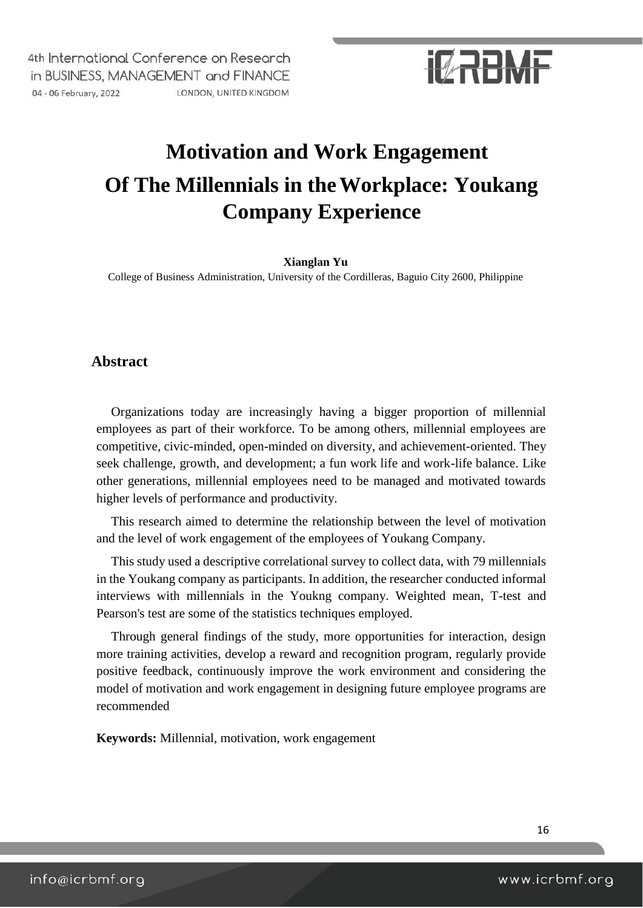# **IMRRANE**

## **Motivation and Work Engagement Of The Millennials in theWorkplace: Youkang Company Experience**

#### **Xianglan Yu**

College of Business Administration, University of the Cordilleras, Baguio City 2600, Philippine

### **Abstract**

Organizations today are increasingly having a bigger proportion of millennial employees as part of their workforce. To be among others, millennial employees are competitive, civic-minded, open-minded on diversity, and achievement-oriented. They seek challenge, growth, and development; a fun work life and work-life balance. Like other generations, millennial employees need to be managed and motivated towards higher levels of performance and productivity.

This research aimed to determine the relationship between the level of motivation and the level of work engagement of the employees of Youkang Company.

This study used a descriptive correlational survey to collect data, with 79 millennials in the Youkang company as participants. In addition, the researcher conducted informal interviews with millennials in the Youkng company. Weighted mean, T-test and Pearson's test are some of the statistics techniques employed.

Through general findings of the study, more opportunities for interaction, design more training activities, develop a reward and recognition program, regularly provide positive feedback, continuously improve the work environment and considering the model of motivation and work engagement in designing future employee programs are recommended

**Keywords:** Millennial, motivation, work engagement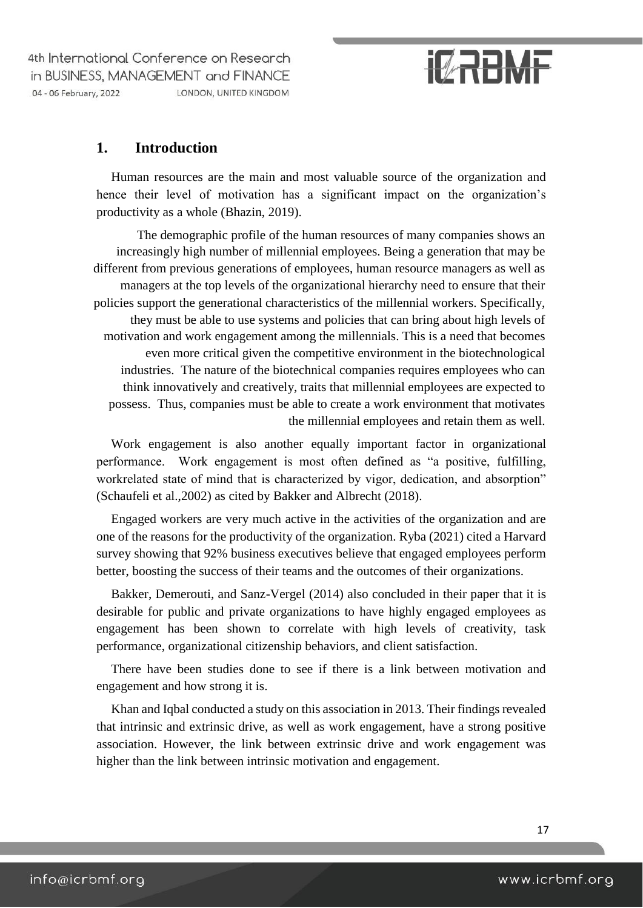# **IZRBMF**

### **1. Introduction**

Human resources are the main and most valuable source of the organization and hence their level of motivation has a significant impact on the organization's productivity as a whole (Bhazin, 2019).

The demographic profile of the human resources of many companies shows an increasingly high number of millennial employees. Being a generation that may be different from previous generations of employees, human resource managers as well as managers at the top levels of the organizational hierarchy need to ensure that their policies support the generational characteristics of the millennial workers. Specifically, they must be able to use systems and policies that can bring about high levels of motivation and work engagement among the millennials. This is a need that becomes even more critical given the competitive environment in the biotechnological industries. The nature of the biotechnical companies requires employees who can think innovatively and creatively, traits that millennial employees are expected to possess. Thus, companies must be able to create a work environment that motivates the millennial employees and retain them as well.

Work engagement is also another equally important factor in organizational performance. Work engagement is most often defined as "a positive, fulfilling, workrelated state of mind that is characterized by vigor, dedication, and absorption" (Schaufeli et al.,2002) as cited by Bakker and Albrecht (2018).

Engaged workers are very much active in the activities of the organization and are one of the reasons for the productivity of the organization. Ryba (2021) cited a Harvard survey showing that 92% business executives believe that engaged employees perform better, boosting the success of their teams and the outcomes of their organizations.

Bakker, Demerouti, and Sanz-Vergel (2014) also concluded in their paper that it is desirable for public and private organizations to have highly engaged employees as engagement has been shown to correlate with high levels of creativity, task performance, organizational citizenship behaviors, and client satisfaction.

There have been studies done to see if there is a link between motivation and engagement and how strong it is.

Khan and Iqbal conducted a study on this association in 2013. Their findings revealed that intrinsic and extrinsic drive, as well as work engagement, have a strong positive association. However, the link between extrinsic drive and work engagement was higher than the link between intrinsic motivation and engagement.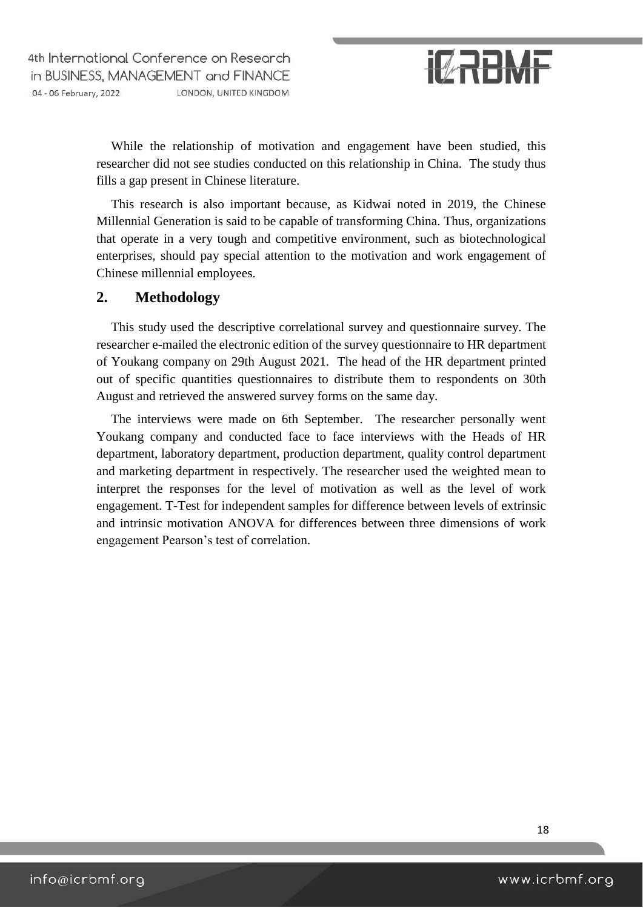

While the relationship of motivation and engagement have been studied, this researcher did not see studies conducted on this relationship in China. The study thus fills a gap present in Chinese literature.

This research is also important because, as Kidwai noted in 2019, the Chinese Millennial Generation is said to be capable of transforming China. Thus, organizations that operate in a very tough and competitive environment, such as biotechnological enterprises, should pay special attention to the motivation and work engagement of Chinese millennial employees.

#### **2. Methodology**

This study used the descriptive correlational survey and questionnaire survey. The researcher e-mailed the electronic edition of the survey questionnaire to HR department of Youkang company on 29th August 2021. The head of the HR department printed out of specific quantities questionnaires to distribute them to respondents on 30th August and retrieved the answered survey forms on the same day.

The interviews were made on 6th September. The researcher personally went Youkang company and conducted face to face interviews with the Heads of HR department, laboratory department, production department, quality control department and marketing department in respectively. The researcher used the weighted mean to interpret the responses for the level of motivation as well as the level of work engagement. T-Test for independent samples for difference between levels of extrinsic and intrinsic motivation ANOVA for differences between three dimensions of work engagement Pearson's test of correlation.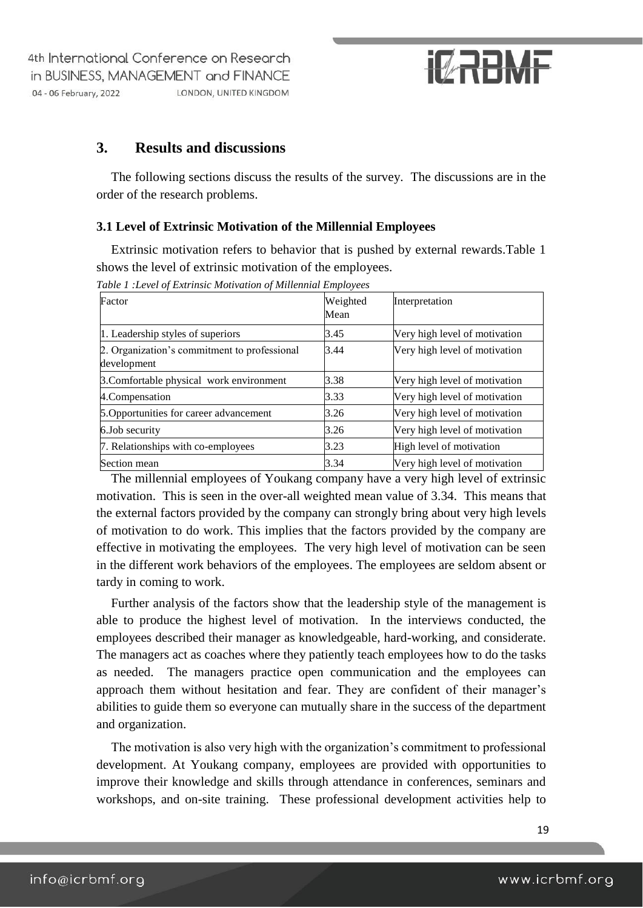# **IMRRANE**

### **3. Results and discussions**

The following sections discuss the results of the survey. The discussions are in the order of the research problems.

#### **3.1 Level of Extrinsic Motivation of the Millennial Employees**

Extrinsic motivation refers to behavior that is pushed by external rewards.Table 1 shows the level of extrinsic motivation of the employees.

| Factor                                                      | Weighted |                               |
|-------------------------------------------------------------|----------|-------------------------------|
|                                                             | Mean     | Interpretation                |
| 1. Leadership styles of superiors                           | 3.45     | Very high level of motivation |
| 2. Organization's commitment to professional<br>development | 3.44     | Very high level of motivation |
| 3. Comfortable physical work environment                    | 3.38     | Very high level of motivation |
| 4. Compensation                                             | 3.33     | Very high level of motivation |
| 5. Opportunities for career advancement                     | 3.26     | Very high level of motivation |
| 6.Job security                                              | 3.26     | Very high level of motivation |
| 7. Relationships with co-employees                          | 3.23     | High level of motivation      |
| Section mean                                                | 3.34     | Very high level of motivation |

*Table 1 :Level of Extrinsic Motivation of Millennial Employees* 

The millennial employees of Youkang company have a very high level of extrinsic motivation. This is seen in the over-all weighted mean value of 3.34. This means that the external factors provided by the company can strongly bring about very high levels of motivation to do work. This implies that the factors provided by the company are effective in motivating the employees. The very high level of motivation can be seen in the different work behaviors of the employees. The employees are seldom absent or tardy in coming to work.

Further analysis of the factors show that the leadership style of the management is able to produce the highest level of motivation. In the interviews conducted, the employees described their manager as knowledgeable, hard-working, and considerate. The managers act as coaches where they patiently teach employees how to do the tasks as needed. The managers practice open communication and the employees can approach them without hesitation and fear. They are confident of their manager's abilities to guide them so everyone can mutually share in the success of the department and organization.

The motivation is also very high with the organization's commitment to professional development. At Youkang company, employees are provided with opportunities to improve their knowledge and skills through attendance in conferences, seminars and workshops, and on-site training. These professional development activities help to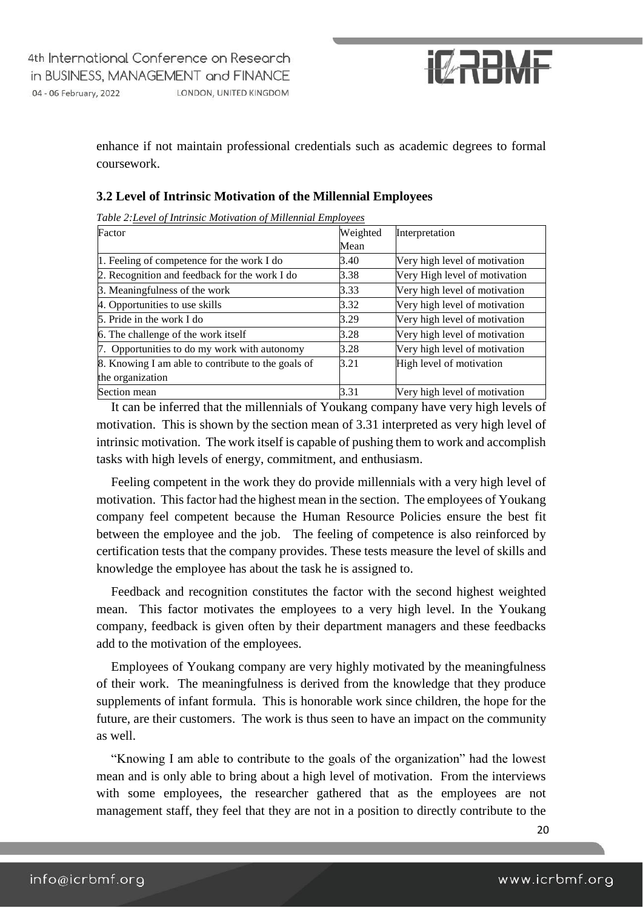

enhance if not maintain professional credentials such as academic degrees to formal coursework.

| Table 2: Level of Intrinsic Motivation of Millennial Employees |          |                               |
|----------------------------------------------------------------|----------|-------------------------------|
| Factor                                                         | Weighted | Interpretation                |
|                                                                | Mean     |                               |
| 1. Feeling of competence for the work I do                     | 3.40     | Very high level of motivation |
| 2. Recognition and feedback for the work I do                  | 3.38     | Very High level of motivation |
| 3. Meaningfulness of the work                                  | 3.33     | Very high level of motivation |
| 4. Opportunities to use skills                                 | 3.32     | Very high level of motivation |
| 5. Pride in the work I do                                      | 3.29     | Very high level of motivation |
| 6. The challenge of the work itself                            | 3.28     | Very high level of motivation |
| 7. Opportunities to do my work with autonomy                   | 3.28     | Very high level of motivation |
| 8. Knowing I am able to contribute to the goals of             | 3.21     | High level of motivation      |
| the organization                                               |          |                               |
| Section mean                                                   | 3.31     | Very high level of motivation |

#### **3.2 Level of Intrinsic Motivation of the Millennial Employees**

It can be inferred that the millennials of Youkang company have very high levels of motivation. This is shown by the section mean of 3.31 interpreted as very high level of intrinsic motivation. The work itself is capable of pushing them to work and accomplish tasks with high levels of energy, commitment, and enthusiasm.

Feeling competent in the work they do provide millennials with a very high level of motivation. This factor had the highest mean in the section. The employees of Youkang company feel competent because the Human Resource Policies ensure the best fit between the employee and the job. The feeling of competence is also reinforced by certification tests that the company provides. These tests measure the level of skills and knowledge the employee has about the task he is assigned to.

Feedback and recognition constitutes the factor with the second highest weighted mean. This factor motivates the employees to a very high level. In the Youkang company, feedback is given often by their department managers and these feedbacks add to the motivation of the employees.

Employees of Youkang company are very highly motivated by the meaningfulness of their work. The meaningfulness is derived from the knowledge that they produce supplements of infant formula. This is honorable work since children, the hope for the future, are their customers. The work is thus seen to have an impact on the community as well.

"Knowing I am able to contribute to the goals of the organization" had the lowest mean and is only able to bring about a high level of motivation. From the interviews with some employees, the researcher gathered that as the employees are not management staff, they feel that they are not in a position to directly contribute to the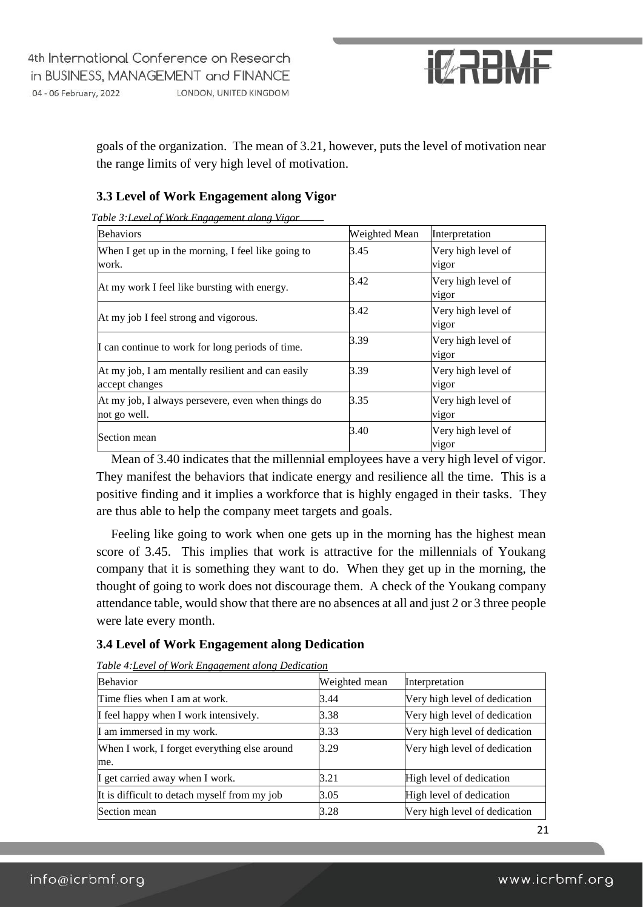

goals of the organization. The mean of 3.21, however, puts the level of motivation near the range limits of very high level of motivation.

#### **3.3 Level of Work Engagement along Vigor**

| <b>Behaviors</b>                                                    | Weighted Mean | Interpretation              |
|---------------------------------------------------------------------|---------------|-----------------------------|
| When I get up in the morning, I feel like going to<br>work.         | 3.45          | Very high level of<br>vigor |
| At my work I feel like bursting with energy.                        | 3.42          | Very high level of<br>vigor |
| At my job I feel strong and vigorous.                               | 3.42          | Very high level of<br>vigor |
| I can continue to work for long periods of time.                    | 3.39          | Very high level of<br>vigor |
| At my job, I am mentally resilient and can easily<br>accept changes | 3.39          | Very high level of<br>vigor |
| At my job, I always persevere, even when things do<br>not go well.  | 3.35          | Very high level of<br>vigor |
| Section mean                                                        | 3.40          | Very high level of<br>vigor |

*Table 3:Level of Work Engagement along Vigor* 

Mean of 3.40 indicates that the millennial employees have a very high level of vigor. They manifest the behaviors that indicate energy and resilience all the time. This is a positive finding and it implies a workforce that is highly engaged in their tasks. They are thus able to help the company meet targets and goals.

Feeling like going to work when one gets up in the morning has the highest mean score of 3.45. This implies that work is attractive for the millennials of Youkang company that it is something they want to do. When they get up in the morning, the thought of going to work does not discourage them. A check of the Youkang company attendance table, would show that there are no absences at all and just 2 or 3 three people were late every month.

#### **3.4 Level of Work Engagement along Dedication**

| <b>Behavior</b>                              | Weighted mean | Interpretation                |
|----------------------------------------------|---------------|-------------------------------|
| Time flies when I am at work.                | 3.44          | Very high level of dedication |
| I feel happy when I work intensively.        | 3.38          | Very high level of dedication |
| I am immersed in my work.                    | 3.33          | Very high level of dedication |
| When I work, I forget everything else around | 3.29          | Very high level of dedication |
| me.                                          |               |                               |
| I get carried away when I work.              | 3.21          | High level of dedication      |
| It is difficult to detach myself from my job | 3.05          | High level of dedication      |
| Section mean                                 | 3.28          | Very high level of dedication |

*Table 4:Level of Work Engagement along Dedication*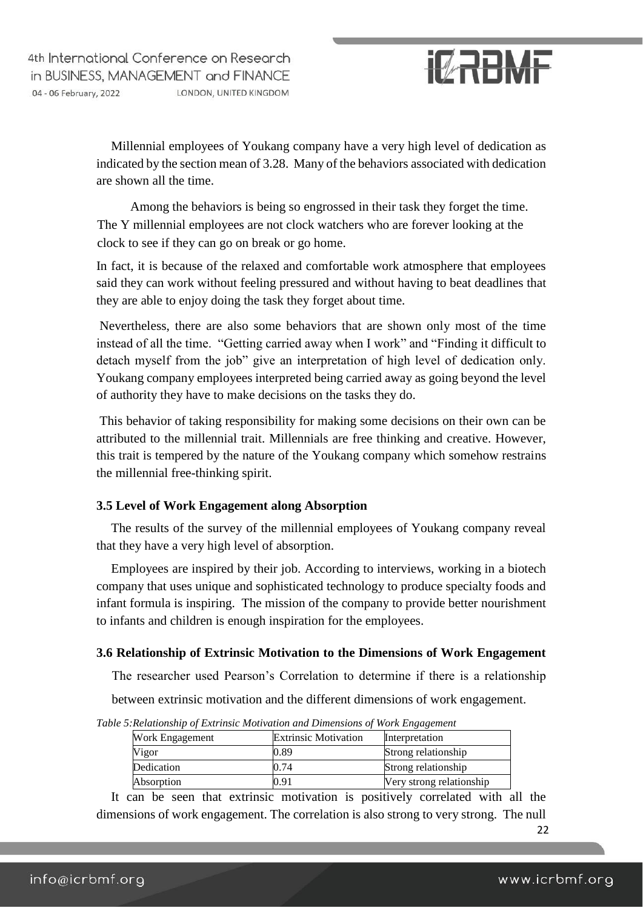

Millennial employees of Youkang company have a very high level of dedication as indicated by the section mean of 3.28. Many of the behaviors associated with dedication are shown all the time.

Among the behaviors is being so engrossed in their task they forget the time. The Y millennial employees are not clock watchers who are forever looking at the clock to see if they can go on break or go home.

In fact, it is because of the relaxed and comfortable work atmosphere that employees said they can work without feeling pressured and without having to beat deadlines that they are able to enjoy doing the task they forget about time.

Nevertheless, there are also some behaviors that are shown only most of the time instead of all the time. "Getting carried away when I work" and "Finding it difficult to detach myself from the job" give an interpretation of high level of dedication only. Youkang company employees interpreted being carried away as going beyond the level of authority they have to make decisions on the tasks they do.

This behavior of taking responsibility for making some decisions on their own can be attributed to the millennial trait. Millennials are free thinking and creative. However, this trait is tempered by the nature of the Youkang company which somehow restrains the millennial free-thinking spirit.

#### **3.5 Level of Work Engagement along Absorption**

The results of the survey of the millennial employees of Youkang company reveal that they have a very high level of absorption.

Employees are inspired by their job. According to interviews, working in a biotech company that uses unique and sophisticated technology to produce specialty foods and infant formula is inspiring. The mission of the company to provide better nourishment to infants and children is enough inspiration for the employees.

#### **3.6 Relationship of Extrinsic Motivation to the Dimensions of Work Engagement**

The researcher used Pearson's Correlation to determine if there is a relationship

between extrinsic motivation and the different dimensions of work engagement.

*Table 5:Relationship of Extrinsic Motivation and Dimensions of Work Engagement* 

| <b>Extrinsic Motivation</b> | Interpretation           |
|-----------------------------|--------------------------|
| 0.89                        | Strong relationship      |
| .).74                       | Strong relationship      |
| 9.91                        | Very strong relationship |
|                             |                          |

It can be seen that extrinsic motivation is positively correlated with all the dimensions of work engagement. The correlation is also strong to very strong. The null

22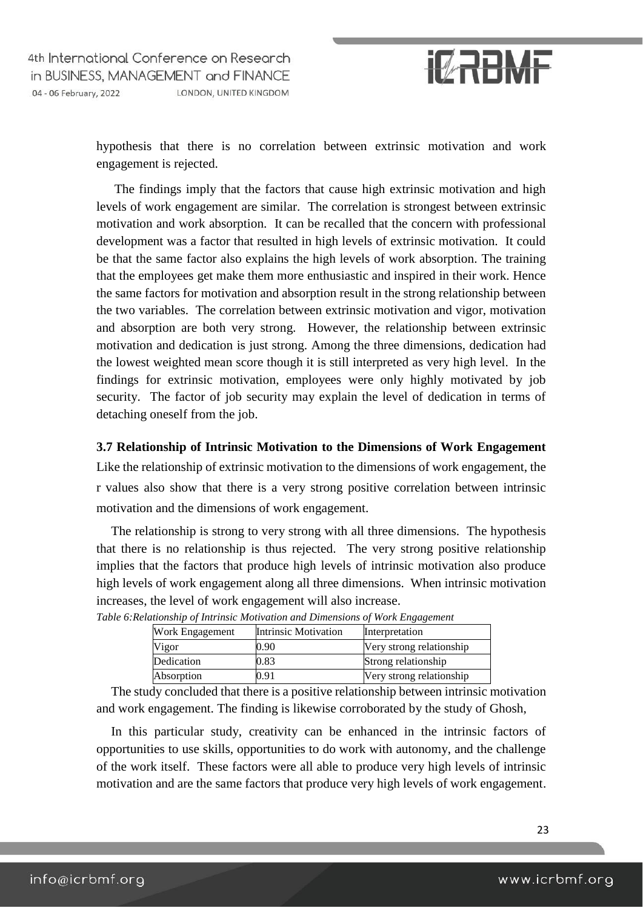

hypothesis that there is no correlation between extrinsic motivation and work engagement is rejected.

The findings imply that the factors that cause high extrinsic motivation and high levels of work engagement are similar. The correlation is strongest between extrinsic motivation and work absorption. It can be recalled that the concern with professional development was a factor that resulted in high levels of extrinsic motivation. It could be that the same factor also explains the high levels of work absorption. The training that the employees get make them more enthusiastic and inspired in their work. Hence the same factors for motivation and absorption result in the strong relationship between the two variables. The correlation between extrinsic motivation and vigor, motivation and absorption are both very strong. However, the relationship between extrinsic motivation and dedication is just strong. Among the three dimensions, dedication had the lowest weighted mean score though it is still interpreted as very high level. In the findings for extrinsic motivation, employees were only highly motivated by job security. The factor of job security may explain the level of dedication in terms of detaching oneself from the job.

#### **3.7 Relationship of Intrinsic Motivation to the Dimensions of Work Engagement**

Like the relationship of extrinsic motivation to the dimensions of work engagement, the r values also show that there is a very strong positive correlation between intrinsic motivation and the dimensions of work engagement.

The relationship is strong to very strong with all three dimensions. The hypothesis that there is no relationship is thus rejected. The very strong positive relationship implies that the factors that produce high levels of intrinsic motivation also produce high levels of work engagement along all three dimensions. When intrinsic motivation increases, the level of work engagement will also increase.

| Work Engagement | Intrinsic Motivation | Interpretation           |
|-----------------|----------------------|--------------------------|
| Vigor           | 0.90                 | Very strong relationship |
| Dedication      | 0.83                 | Strong relationship      |
| Absorption      | ).91                 | Very strong relationship |

*Table 6:Relationship of Intrinsic Motivation and Dimensions of Work Engagement* 

The study concluded that there is a positive relationship between intrinsic motivation and work engagement. The finding is likewise corroborated by the study of Ghosh,

In this particular study, creativity can be enhanced in the intrinsic factors of opportunities to use skills, opportunities to do work with autonomy, and the challenge of the work itself. These factors were all able to produce very high levels of intrinsic motivation and are the same factors that produce very high levels of work engagement.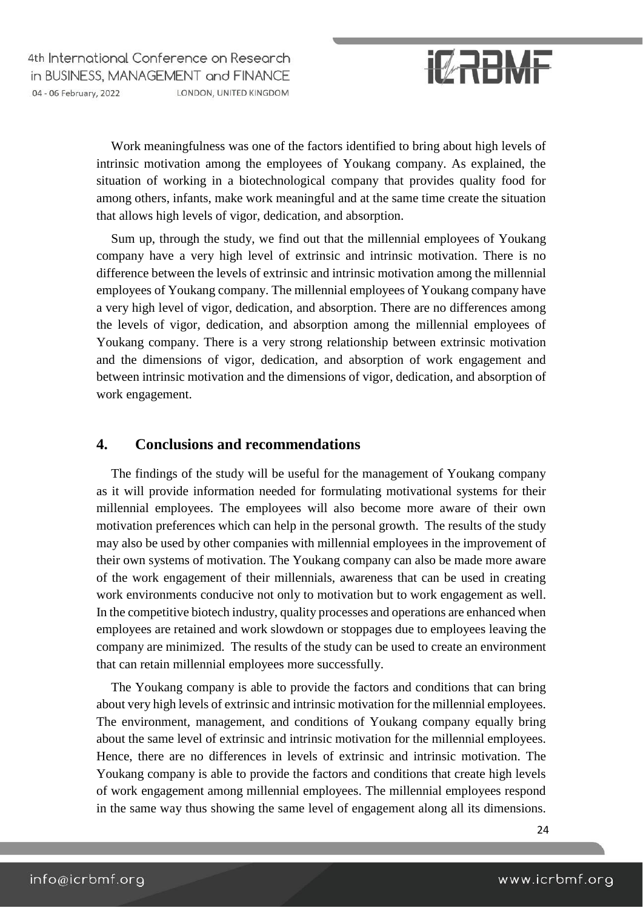

Work meaningfulness was one of the factors identified to bring about high levels of intrinsic motivation among the employees of Youkang company. As explained, the situation of working in a biotechnological company that provides quality food for among others, infants, make work meaningful and at the same time create the situation that allows high levels of vigor, dedication, and absorption.

Sum up, through the study, we find out that the millennial employees of Youkang company have a very high level of extrinsic and intrinsic motivation. There is no difference between the levels of extrinsic and intrinsic motivation among the millennial employees of Youkang company. The millennial employees of Youkang company have a very high level of vigor, dedication, and absorption. There are no differences among the levels of vigor, dedication, and absorption among the millennial employees of Youkang company. There is a very strong relationship between extrinsic motivation and the dimensions of vigor, dedication, and absorption of work engagement and between intrinsic motivation and the dimensions of vigor, dedication, and absorption of work engagement.

### **4. Conclusions and recommendations**

The findings of the study will be useful for the management of Youkang company as it will provide information needed for formulating motivational systems for their millennial employees. The employees will also become more aware of their own motivation preferences which can help in the personal growth. The results of the study may also be used by other companies with millennial employees in the improvement of their own systems of motivation. The Youkang company can also be made more aware of the work engagement of their millennials, awareness that can be used in creating work environments conducive not only to motivation but to work engagement as well. In the competitive biotech industry, quality processes and operations are enhanced when employees are retained and work slowdown or stoppages due to employees leaving the company are minimized. The results of the study can be used to create an environment that can retain millennial employees more successfully.

The Youkang company is able to provide the factors and conditions that can bring about very high levels of extrinsic and intrinsic motivation for the millennial employees. The environment, management, and conditions of Youkang company equally bring about the same level of extrinsic and intrinsic motivation for the millennial employees. Hence, there are no differences in levels of extrinsic and intrinsic motivation. The Youkang company is able to provide the factors and conditions that create high levels of work engagement among millennial employees. The millennial employees respond in the same way thus showing the same level of engagement along all its dimensions.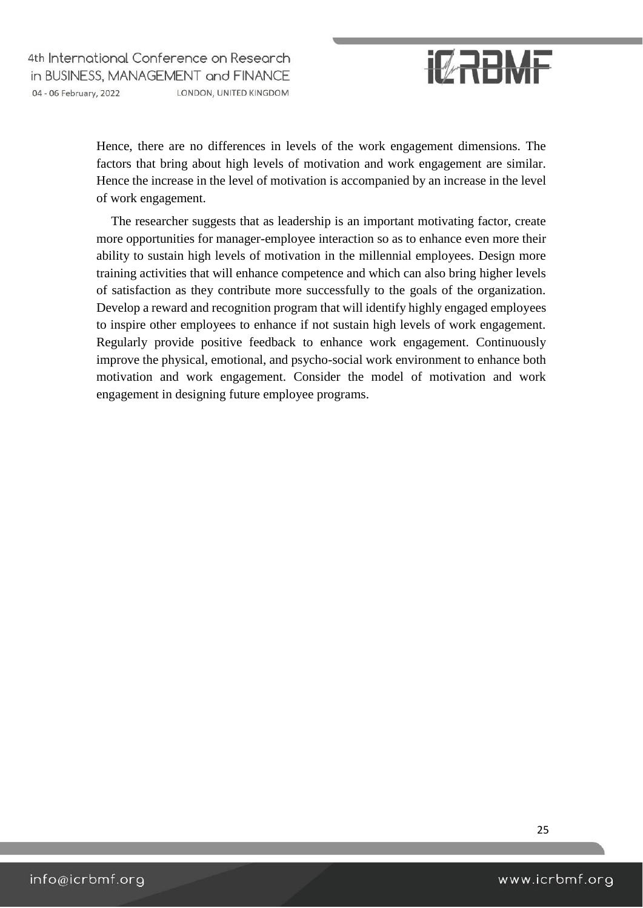

Hence, there are no differences in levels of the work engagement dimensions. The factors that bring about high levels of motivation and work engagement are similar. Hence the increase in the level of motivation is accompanied by an increase in the level of work engagement.

The researcher suggests that as leadership is an important motivating factor, create more opportunities for manager-employee interaction so as to enhance even more their ability to sustain high levels of motivation in the millennial employees. Design more training activities that will enhance competence and which can also bring higher levels of satisfaction as they contribute more successfully to the goals of the organization. Develop a reward and recognition program that will identify highly engaged employees to inspire other employees to enhance if not sustain high levels of work engagement. Regularly provide positive feedback to enhance work engagement. Continuously improve the physical, emotional, and psycho-social work environment to enhance both motivation and work engagement. Consider the model of motivation and work engagement in designing future employee programs.